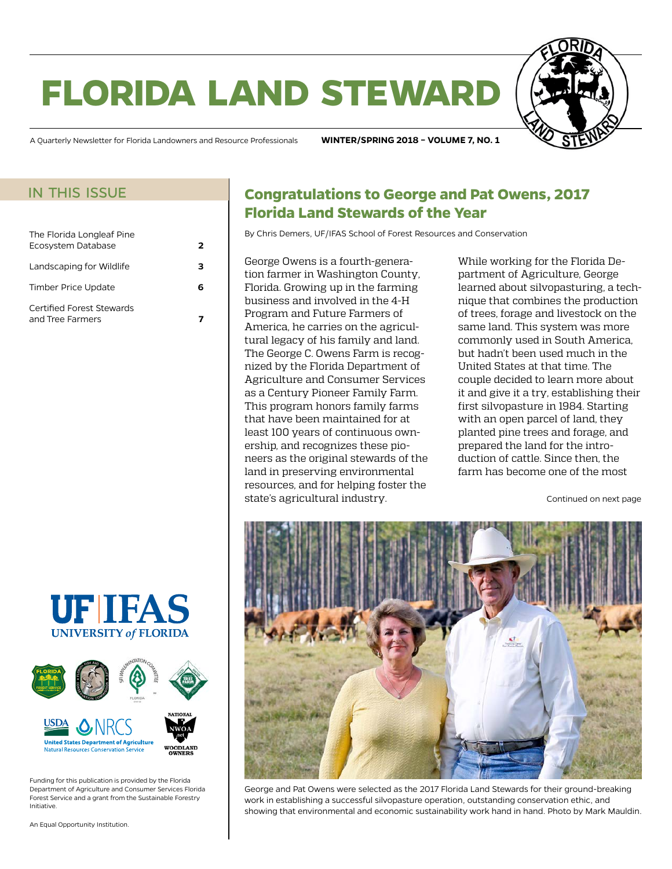# **florida land steward**



A Quarterly Newsletter for Florida Landowners and Resource Professionals **WINTER/SPRING 2018 – VOLUME 7, NO. 1**

#### in this issue

| The Florida Longleaf Pine<br>Ecosystem Database | 2 |
|-------------------------------------------------|---|
| Landscaping for Wildlife                        |   |
| Timber Price Update                             |   |
| Certified Forest Stewards<br>and Tree Farmers   |   |





Funding for this publication is provided by the Florida Department of Agriculture and Consumer Services Florida Forest Service and a grant from the Sustainable Forestry Initiative.

An Equal Opportunity Institution.

### **Congratulations to George and Pat Owens, 2017 Florida Land Stewards of the Year**

By Chris Demers, UF/IFAS School of Forest Resources and Conservation

George Owens is a fourth-generation farmer in Washington County, Florida. Growing up in the farming business and involved in the 4-H Program and Future Farmers of America, he carries on the agricultural legacy of his family and land. The George C. Owens Farm is recognized by the Florida Department of Agriculture and Consumer Services as a Century Pioneer Family Farm. This program honors family farms that have been maintained for at least 100 years of continuous ownership, and recognizes these pioneers as the original stewards of the land in preserving environmental resources, and for helping foster the state's agricultural industry.

While working for the Florida Department of Agriculture, George learned about silvopasturing, a technique that combines the production of trees, forage and livestock on the same land. This system was more commonly used in South America, but hadn't been used much in the United States at that time. The couple decided to learn more about it and give it a try, establishing their first silvopasture in 1984. Starting with an open parcel of land, they planted pine trees and forage, and prepared the land for the introduction of cattle. Since then, the farm has become one of the most

Continued on next page



George and Pat Owens were selected as the 2017 Florida Land Stewards for their ground-breaking work in establishing a successful silvopasture operation, outstanding conservation ethic, and showing that environmental and economic sustainability work hand in hand. Photo by Mark Mauldin.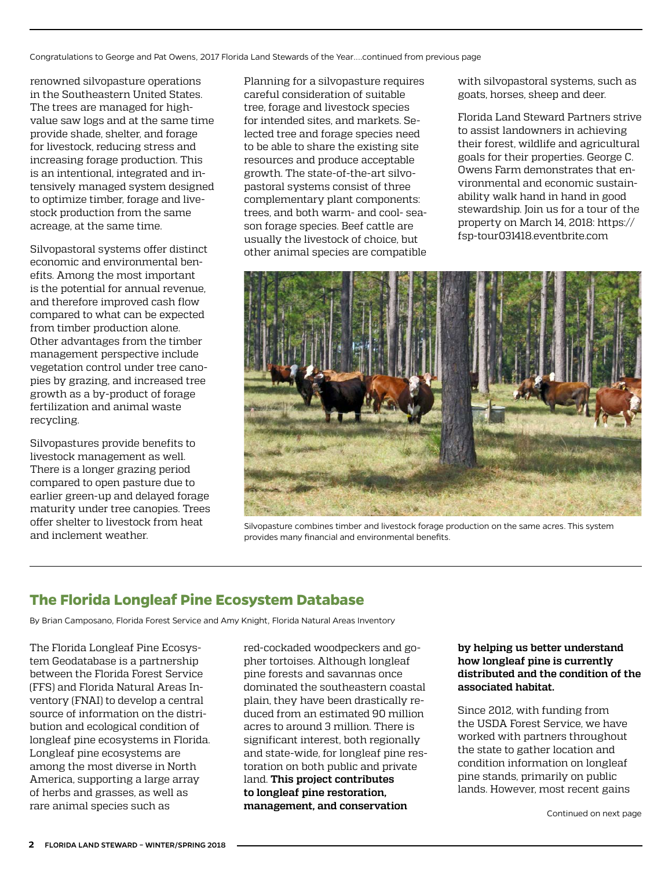<span id="page-1-0"></span>Congratulations to George and Pat Owens, 2017 Florida Land Stewards of the Year....continued from previous page

renowned silvopasture operations in the Southeastern United States. The trees are managed for highvalue saw logs and at the same time provide shade, shelter, and forage for livestock, reducing stress and increasing forage production. This is an intentional, integrated and intensively managed system designed to optimize timber, forage and livestock production from the same acreage, at the same time.

Silvopastoral systems offer distinct economic and environmental benefits. Among the most important is the potential for annual revenue, and therefore improved cash flow compared to what can be expected from timber production alone. Other advantages from the timber management perspective include vegetation control under tree canopies by grazing, and increased tree growth as a by-product of forage fertilization and animal waste recycling.

Silvopastures provide benefits to livestock management as well. There is a longer grazing period compared to open pasture due to earlier green-up and delayed forage maturity under tree canopies. Trees offer shelter to livestock from heat and inclement weather.

Planning for a silvopasture requires careful consideration of suitable tree, forage and livestock species for intended sites, and markets. Selected tree and forage species need to be able to share the existing site resources and produce acceptable growth. The state-of-the-art silvopastoral systems consist of three complementary plant components: trees, and both warm- and cool- season forage species. Beef cattle are usually the livestock of choice, but other animal species are compatible

with silvopastoral systems, such as goats, horses, sheep and deer.

Florida Land Steward Partners strive to assist landowners in achieving their forest, wildlife and agricultural goals for their properties. George C. Owens Farm demonstrates that environmental and economic sustainability walk hand in hand in good stewardship. Join us for a tour of the property on March 14, 2018: [https://](https://fsp-tour031418.eventbrite.com/) [fsp-tour031418.eventbrite.com](https://fsp-tour031418.eventbrite.com/) 



Silvopasture combines timber and livestock forage production on the same acres. This system provides many financial and environmental benefits.

## **The Florida Longleaf Pine Ecosystem Database**

By Brian Camposano, Florida Forest Service and Amy Knight, Florida Natural Areas Inventory

The Florida Longleaf Pine Ecosystem Geodatabase is a partnership between the Florida Forest Service (FFS) and Florida Natural Areas Inventory (FNAI) to develop a central source of information on the distribution and ecological condition of longleaf pine ecosystems in Florida. Longleaf pine ecosystems are among the most diverse in North America, supporting a large array of herbs and grasses, as well as rare animal species such as

red-cockaded woodpeckers and gopher tortoises. Although longleaf pine forests and savannas once dominated the southeastern coastal plain, they have been drastically reduced from an estimated 90 million acres to around 3 million. There is significant interest, both regionally and state-wide, for longleaf pine restoration on both public and private land. **This project contributes to longleaf pine restoration, management, and conservation** 

#### **by helping us better understand how longleaf pine is currently distributed and the condition of the associated habitat.**

Since 2012, with funding from the USDA Forest Service, we have worked with partners throughout the state to gather location and condition information on longleaf pine stands, primarily on public lands. However, most recent gains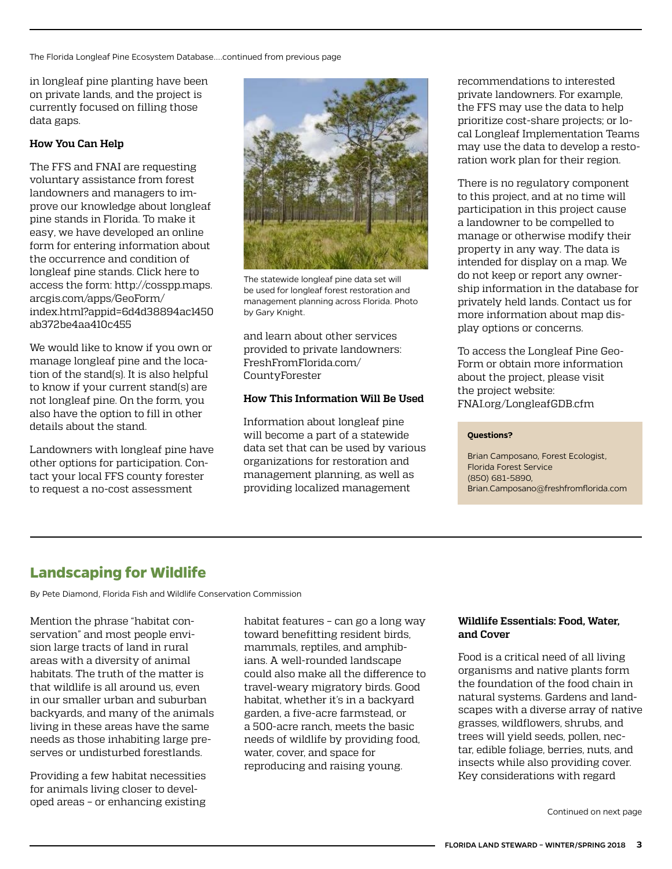<span id="page-2-0"></span>The Florida Longleaf Pine Ecosystem Database....continued from previous page

in longleaf pine planting have been on private lands, and the project is currently focused on filling those data gaps.

#### **How You Can Help**

The FFS and FNAI are requesting voluntary assistance from forest landowners and managers to improve our knowledge about longleaf pine stands in Florida. To make it easy, we have developed an online form for entering information about the occurrence and condition of longleaf pine stands. Click here to access the form: [http://cosspp.maps.](http://cosspp.maps.arcgis.com/apps/GeoForm/index.html?appid=6d4d38894ac1450ab372be4aa410c455) [arcgis.com/apps/GeoForm/](http://cosspp.maps.arcgis.com/apps/GeoForm/index.html?appid=6d4d38894ac1450ab372be4aa410c455) [index.html?appid=6d4d38894ac1450](http://cosspp.maps.arcgis.com/apps/GeoForm/index.html?appid=6d4d38894ac1450ab372be4aa410c455) [ab372be4aa410c455](http://cosspp.maps.arcgis.com/apps/GeoForm/index.html?appid=6d4d38894ac1450ab372be4aa410c455)

We would like to know if you own or manage longleaf pine and the location of the stand(s). It is also helpful to know if your current stand(s) are not longleaf pine. On the form, you also have the option to fill in other details about the stand.

Landowners with longleaf pine have other options for participation. Contact your local FFS county forester to request a no-cost assessment



The statewide longleaf pine data set will be used for longleaf forest restoration and management planning across Florida. Photo by Gary Knight.

and learn about other services provided to private landowners: [FreshFromFlorida.com/](http://FreshFromFlorida.com/CountyForester) [CountyForester](http://FreshFromFlorida.com/CountyForester)

#### **How This Information Will Be Used**

Information about longleaf pine will become a part of a statewide data set that can be used by various organizations for restoration and management planning, as well as providing localized management

recommendations to interested private landowners. For example, the FFS may use the data to help prioritize cost-share projects; or local Longleaf Implementation Teams may use the data to develop a restoration work plan for their region.

There is no regulatory component to this project, and at no time will participation in this project cause a landowner to be compelled to manage or otherwise modify their property in any way. The data is intended for display on a map. We do not keep or report any ownership information in the database for privately held lands. Contact us for more information about map display options or concerns.

To access the Longleaf Pine Geo-Form or obtain more information about the project, please visit the project website: [FNAI.org/LongleafGDB.cfm](http://www.fnai.org/longleafGDB.cfm)

#### **Questions?**

Brian Camposano, Forest Ecologist, Florida Forest Service (850) 681-5890, [Brian.Camposano@freshfromflorida.com](file:///C:\Users\camposb\AppData\Local\Microsoft\Windows\INetCache\Content.Outlook\UM8YKBRE\Brian.Camposano@freshfromflorida.com)

## **Landscaping for Wildlife**

By Pete Diamond, Florida Fish and Wildlife Conservation Commission

Mention the phrase "habitat conservation" and most people envision large tracts of land in rural areas with a diversity of animal habitats. The truth of the matter is that wildlife is all around us, even in our smaller urban and suburban backyards, and many of the animals living in these areas have the same needs as those inhabiting large preserves or undisturbed forestlands.

Providing a few habitat necessities for animals living closer to developed areas – or enhancing existing habitat features – can go a long way toward benefitting resident birds, mammals, reptiles, and amphibians. A well-rounded landscape could also make all the difference to travel-weary migratory birds. Good habitat, whether it's in a backyard garden, a five-acre farmstead, or a 500-acre ranch, meets the basic needs of wildlife by providing food, water, cover, and space for reproducing and raising young.

#### **Wildlife Essentials: Food, Water, and Cover**

Food is a critical need of all living organisms and native plants form the foundation of the food chain in natural systems. Gardens and landscapes with a diverse array of native grasses, wildflowers, shrubs, and trees will yield seeds, pollen, nectar, edible foliage, berries, nuts, and insects while also providing cover. Key considerations with regard

Continued on next page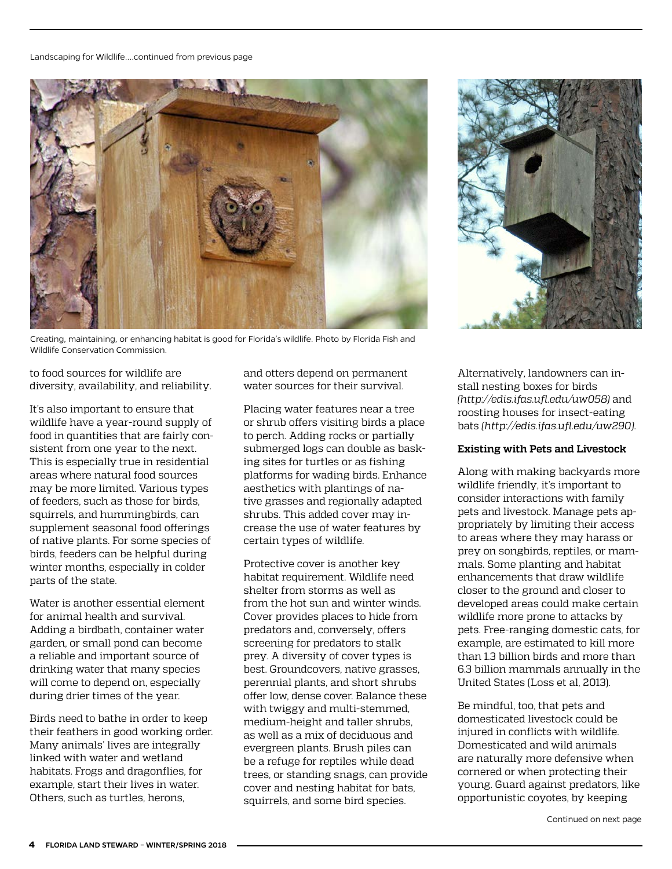

Creating, maintaining, or enhancing habitat is good for Florida's wildlife. Photo by Florida Fish and Wildlife Conservation Commission.

to food sources for wildlife are diversity, availability, and reliability.

It's also important to ensure that wildlife have a year-round supply of food in quantities that are fairly consistent from one year to the next. This is especially true in residential areas where natural food sources may be more limited. Various types of feeders, such as those for birds, squirrels, and hummingbirds, can supplement seasonal food offerings of native plants. For some species of birds, feeders can be helpful during winter months, especially in colder parts of the state.

Water is another essential element for animal health and survival. Adding a birdbath, container water garden, or small pond can become a reliable and important source of drinking water that many species will come to depend on, especially during drier times of the year.

Birds need to bathe in order to keep their feathers in good working order. Many animals' lives are integrally linked with water and wetland habitats. Frogs and dragonflies, for example, start their lives in water. Others, such as turtles, herons,

and otters depend on permanent water sources for their survival.

Placing water features near a tree or shrub offers visiting birds a place to perch. Adding rocks or partially submerged logs can double as basking sites for turtles or as fishing platforms for wading birds. Enhance aesthetics with plantings of native grasses and regionally adapted shrubs. This added cover may increase the use of water features by certain types of wildlife.

Protective cover is another key habitat requirement. Wildlife need shelter from storms as well as from the hot sun and winter winds. Cover provides places to hide from predators and, conversely, offers screening for predators to stalk prey. A diversity of cover types is best. Groundcovers, native grasses, perennial plants, and short shrubs offer low, dense cover. Balance these with twiggy and multi-stemmed, medium-height and taller shrubs, as well as a mix of deciduous and evergreen plants. Brush piles can be a refuge for reptiles while dead trees, or standing snags, can provide cover and nesting habitat for bats, squirrels, and some bird species.



Alternatively, landowners can install nesting boxes for birds *(<http://edis.ifas.ufl.edu/uw058>)* and roosting houses for insect-eating bats *(<http://edis.ifas.ufl.edu/uw290>)*.

#### **Existing with Pets and Livestock**

Along with making backyards more wildlife friendly, it's important to consider interactions with family pets and livestock. Manage pets appropriately by limiting their access to areas where they may harass or prey on songbirds, reptiles, or mammals. Some planting and habitat enhancements that draw wildlife closer to the ground and closer to developed areas could make certain wildlife more prone to attacks by pets. Free-ranging domestic cats, for example, are estimated to kill more than 1.3 billion birds and more than 6.3 billion mammals annually in the United States (Loss et al, 2013).

Be mindful, too, that pets and domesticated livestock could be injured in conflicts with wildlife. Domesticated and wild animals are naturally more defensive when cornered or when protecting their young. Guard against predators, like opportunistic coyotes, by keeping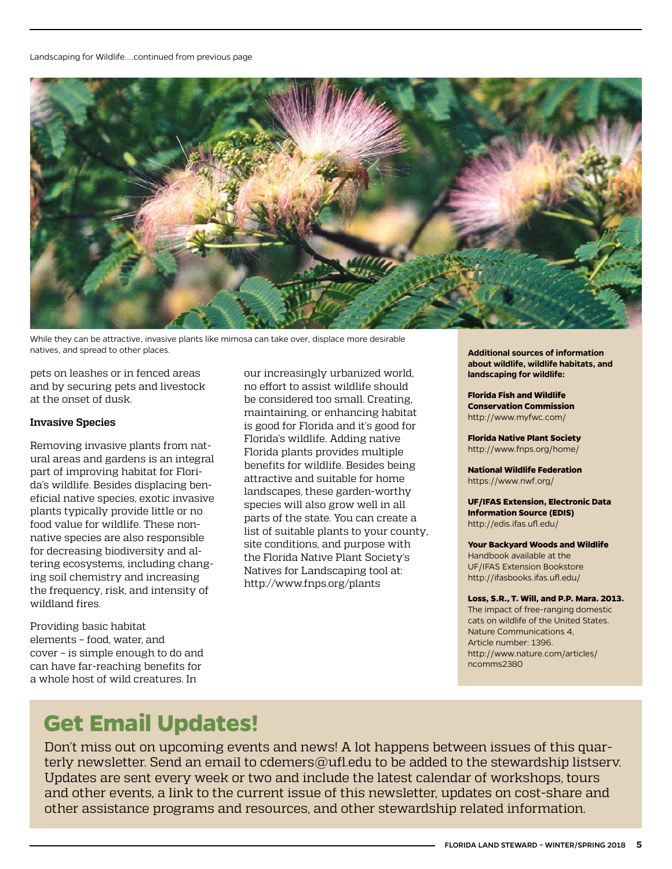

While they can be attractive, invasive plants like mimosa can take over, displace more desirable natives, and spread to other places.

pets on leashes or in fenced areas and by securing pets and livestock at the onset of dusk.

#### **Invasive Species**

Removing invasive plants from natural areas and gardens is an integral part of improving habitat for Florida's wildlife. Besides displacing beneficial native species, exotic invasive plants typically provide little or no food value for wildlife. These nonnative species are also responsible for decreasing biodiversity and altering ecosystems, including changing soil chemistry and increasing the frequency, risk, and intensity of wildland fires.

Providing basic habitat elements – food, water, and cover – is simple enough to do and can have far-reaching benefits for a whole host of wild creatures. In

our increasingly urbanized world, no effort to assist wildlife should be considered too small. Creating, maintaining, or enhancing habitat is good for Florida and it's good for Florida's wildlife. Adding native Florida plants provides multiple benefits for wildlife. Besides being attractive and suitable for home landscapes, these garden-worthy species will also grow well in all parts of the state. You can create a list of suitable plants to your county, site conditions, and purpose with the Florida Native Plant Society's Natives for Landscaping tool at: [http://www.fnps.org/plants](https://urldefense.proofpoint.com/v2/url?u=http-3A__www.fnps.org_plants&d=DwMFAg&c=pZJPUDQ3SB9JplYbifm4nt2lEVG5pWx2KikqINpWlZM&r=RDI9fzZmeinhE7lTv5nBLw&m=hsvJsCe6AC1iPLCRhu5kFoLhsB0xFd8R8XTO4fhjeDo&s=9DIqW-keBru54fdBiAH0fNPb-V2ymBEYQKtTYQ7zgao&e=)

**Additional sources of information about wildlife, wildlife habitats, and landscaping for wildlife:**

**Florida Fish and Wildlife Conservation Commission** <http://www.myfwc.com/>

**Florida Native Plant Society** <http://www.fnps.org/home/>

**National Wildlife Federation** <https://www.nwf.org/>

**UF/IFAS Extension, Electronic Data Information Source (EDIS)**  <http://edis.ifas.ufl.edu/>

**Your Backyard Woods and Wildlife**  Handbook available at the UF/IFAS Extension Bookstore <http://ifasbooks.ifas.ufl.edu/>

**Loss, S.R., T. Will, and P.P. Mara. 2013.**  The impact of free-ranging domestic cats on wildlife of the United States. Nature Communications 4, Article number: 1396. [http://www.nature.com/articles/](http://www.nature.com/articles/ncomms2380) [ncomms2380](http://www.nature.com/articles/ncomms2380)

## **Get Email Updates!**

Don't miss out on upcoming events and news! A lot happens between issues of this quarterly newsletter. Send an email to [cdemers@ufl.edu](mailto:cdemers%40ufl.edu?subject=) to be added to the stewardship listsery. Updates are sent every week or two and include the latest calendar of workshops, tours and other events, a link to the current issue of this newsletter, updates on cost-share and other assistance programs and resources, and other stewardship related information.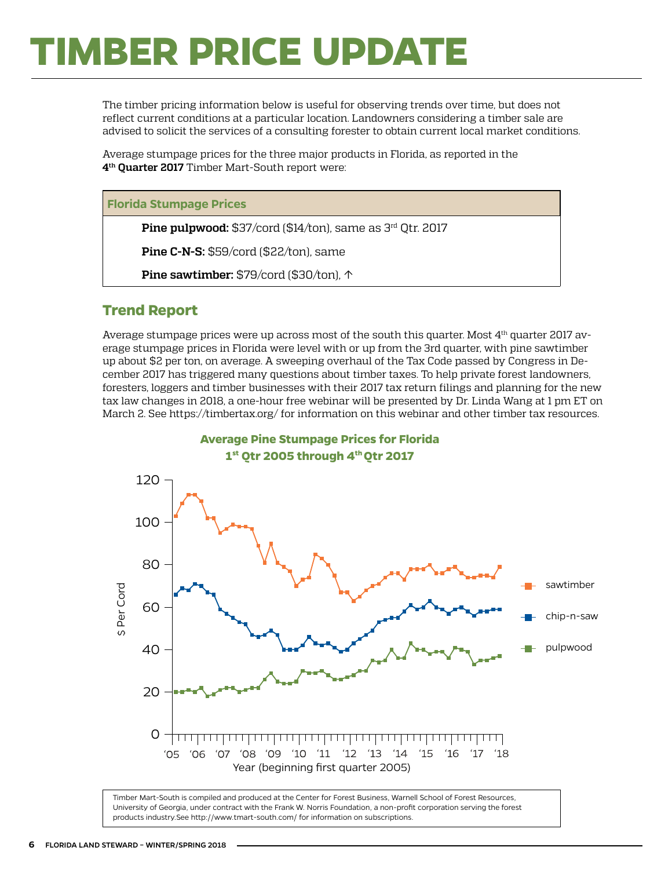# <span id="page-5-0"></span>**TIMBER PRICE UPDATE**

The timber pricing information below is useful for observing trends over time, but does not reflect current conditions at a particular location. Landowners considering a timber sale are advised to solicit the services of a consulting forester to obtain current local market conditions.

Average stumpage prices for the three major products in Florida, as reported in the **4th Quarter 2017** Timber Mart-South report were:

#### **Florida Stumpage Prices**

**Pine pulpwood:** \$37/cord (\$14/ton), same as 3rd Qtr. 2017

**Pine C-N-S:** \$59/cord (\$22/ton), same

**Pine sawtimber:** \$79/cord (\$30/ton), ↑

#### **Trend Report**

Average stumpage prices were up across most of the south this quarter. Most 4th quarter 2017 average stumpage prices in Florida were level with or up from the 3rd quarter, with pine sawtimber up about \$2 per ton, on average. A sweeping overhaul of the Tax Code passed by Congress in December 2017 has triggered many questions about timber taxes. To help private forest landowners, foresters, loggers and timber businesses with their 2017 tax return filings and planning for the new tax law changes in 2018, a one-hour free webinar will be presented by Dr. Linda Wang at 1 pm ET on March 2. See<https://timbertax.org/>for information on this webinar and other timber tax resources.



Timber Mart-South is compiled and produced at the Center for Forest Business, Warnell School of Forest Resources, University of Georgia, under contract with the Frank W. Norris Foundation, a non-profit corporation serving the forest products industry.See<http://www.tmart-south.com/>for information on subscriptions.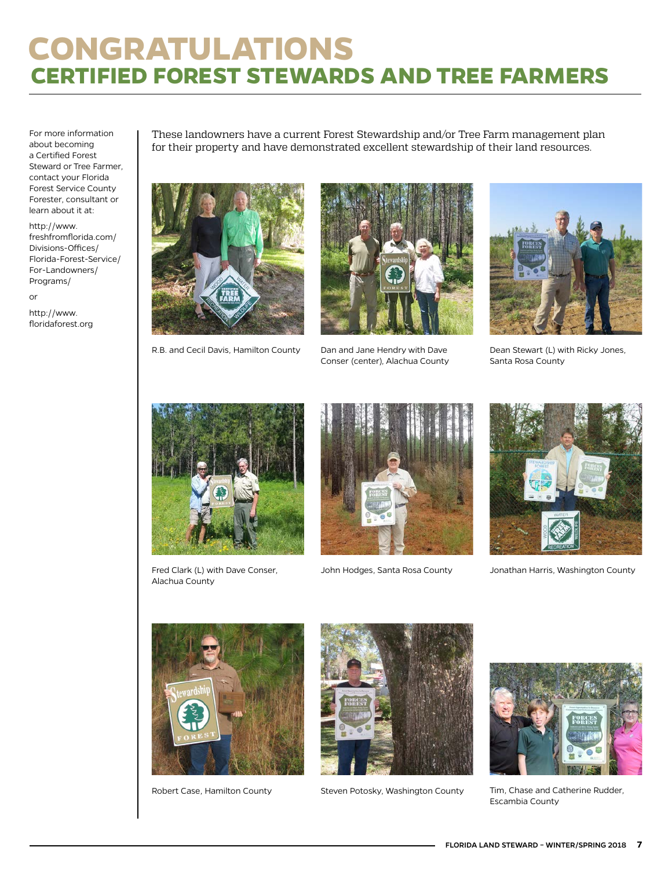# <span id="page-6-0"></span>**CONGRATULATIONS CERTIFIED FOREST STEWARDS AND TREE FARMERS**

For more information about becoming a Certified Forest Steward or Tree Farmer, contact your Florida Forest Service County Forester, consultant or learn about it at:

[http://www.](http://www.freshfromflorida.com/Divisions-Offices/Florida-Forest-Service/For-Landowners/Programs/) [freshfromflorida.com/](http://www.freshfromflorida.com/Divisions-Offices/Florida-Forest-Service/For-Landowners/Programs/) [Divisions-Offices/](http://www.freshfromflorida.com/Divisions-Offices/Florida-Forest-Service/For-Landowners/Programs/) [Florida-Forest-Service/](http://www.freshfromflorida.com/Divisions-Offices/Florida-Forest-Service/For-Landowners/Programs/) [For-Landowners/](http://www.freshfromflorida.com/Divisions-Offices/Florida-Forest-Service/For-Landowners/Programs/) [Programs/](http://www.freshfromflorida.com/Divisions-Offices/Florida-Forest-Service/For-Landowners/Programs/)

or

http://[www.](http://www.floridaforest.org) [floridaforest.org](http://www.floridaforest.org) These landowners have a current Forest Stewardship and/or Tree Farm management plan for their property and have demonstrated excellent stewardship of their land resources.



R.B. and Cecil Davis, Hamilton County Dan and Jane Hendry with Dave Dean Stewart (L) with Ricky Jones,



Dan and Jane Hendry with Dave Conser (center), Alachua County



Santa Rosa County



Fred Clark (L) with Dave Conser, Alachua County





John Hodges, Santa Rosa County Jonathan Harris, Washington County





Robert Case, Hamilton County **The Steven Potosky, Washington County** Tim, Chase and Catherine Rudder,



Escambia County